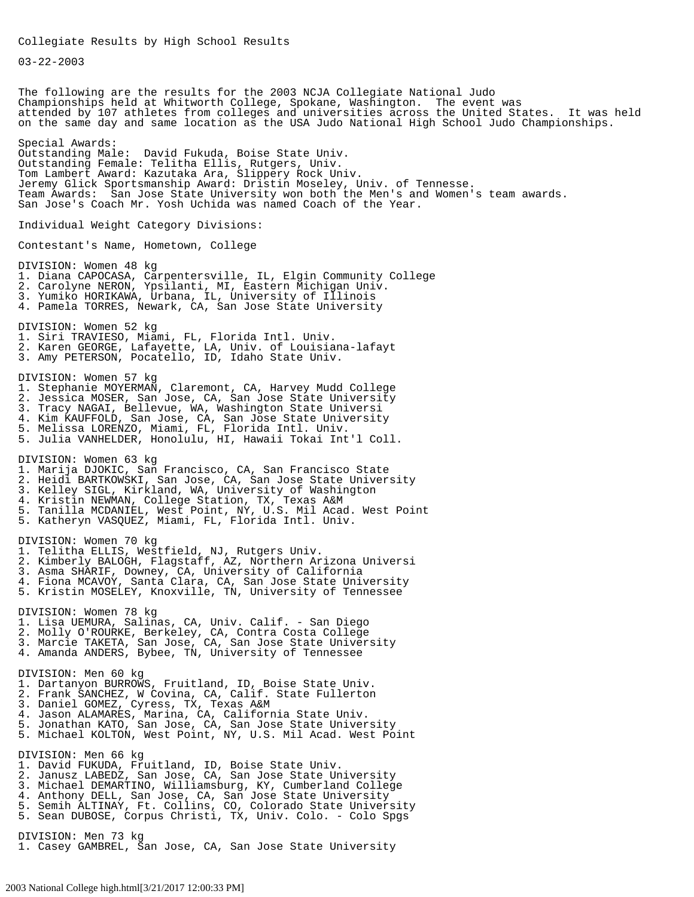03-22-2003

The following are the results for the 2003 NCJA Collegiate National Judo Championships held at Whitworth College, Spokane, Washington. The event was attended by 107 athletes from colleges and universities across the United States. It was held on the same day and same location as the USA Judo National High School Judo Championships. Special Awards: Outstanding Male: David Fukuda, Boise State Univ. Outstanding Female: Telitha Ellis, Rutgers, Univ. Tom Lambert Award: Kazutaka Ara, Slippery Rock Univ. Jeremy Glick Sportsmanship Award: Dristin Moseley, Univ. of Tennesse. Team Awards: San Jose State University won both the Men's and Women's team awards. San Jose's Coach Mr. Yosh Uchida was named Coach of the Year. Individual Weight Category Divisions: Contestant's Name, Hometown, College DIVISION: Women 48 kg 1. Diana CAPOCASA, Carpentersville, IL, Elgin Community College 2. Carolyne NERON, Ypsilanti, MI, Eastern Michigan Univ. 3. Yumiko HORIKAWA, Urbana, IL, University of Illinois 4. Pamela TORRES, Newark, CA, San Jose State University DIVISION: Women 52 kg 1. Siri TRAVIESO, Miami, FL, Florida Intl. Univ. 2. Karen GEORGE, Lafayette, LA, Univ. of Louisiana-lafayt 3. Amy PETERSON, Pocatello, ID, Idaho State Univ. DIVISION: Women 57 kg 1. Stephanie MOYERMAN, Claremont, CA, Harvey Mudd College 2. Jessica MOSER, San Jose, CA, San Jose State University 3. Tracy NAGAI, Bellevue, WA, Washington State Universi 4. Kim KAUFFOLD, San Jose, CA, San Jose State University 5. Melissa LORENZO, Miami, FL, Florida Intl. Univ. 5. Julia VANHELDER, Honolulu, HI, Hawaii Tokai Int'l Coll. DIVISION: Women 63 kg 1. Marija DJOKIC, San Francisco, CA, San Francisco State 2. Heidi BARTKOWSKI, San Jose, CA, San Jose State University 3. Kelley SIGL, Kirkland, WA, University of Washington 4. Kristin NEWMAN, College Station, TX, Texas A&M 5. Tanilla MCDANIEL, West Point, NY, U.S. Mil Acad. West Point 5. Katheryn VASQUEZ, Miami, FL, Florida Intl. Univ. DIVISION: Women 70 kg 1. Telitha ELLIS, Westfield, NJ, Rutgers Univ. 2. Kimberly BALOGH, Flagstaff, AZ, Northern Arizona Universi 3. Asma SHARIF, Downey, CA, University of California 4. Fiona MCAVOY, Santa Clara, CA, San Jose State University 5. Kristin MOSELEY, Knoxville, TN, University of Tennessee DIVISION: Women 78 kg 1. Lisa UEMURA, Salinas, CA, Univ. Calif. - San Diego 2. Molly O'ROURKE, Berkeley, CA, Contra Costa College 3. Marcie TAKETA, San Jose, CA, San Jose State University 4. Amanda ANDERS, Bybee, TN, University of Tennessee DIVISION: Men 60 kg 1. Dartanyon BURROWS, Fruitland, ID, Boise State Univ. 2. Frank SANCHEZ, W Covina, CA, Calif. State Fullerton 3. Daniel GOMEZ, Cyress, TX, Texas A&M 4. Jason ALAMARES, Marina, CA, California State Univ. 5. Jonathan KATO, San Jose, CA, San Jose State University 5. Michael KOLTON, West Point, NY, U.S. Mil Acad. West Point DIVISION: Men 66 kg 1. David FUKUDA, Fruitland, ID, Boise State Univ. 2. Janusz LABEDZ, San Jose, CA, San Jose State University 3. Michael DEMARTINO, Williamsburg, KY, Cumberland College 4. Anthony DELL, San Jose, CA, San Jose State University 5. Semih ALTINAY, Ft. Collins, CO, Colorado State University 5. Sean DUBOSE, Corpus Christi, TX, Univ. Colo. - Colo Spgs DIVISION: Men 73 kg 1. Casey GAMBREL, San Jose, CA, San Jose State University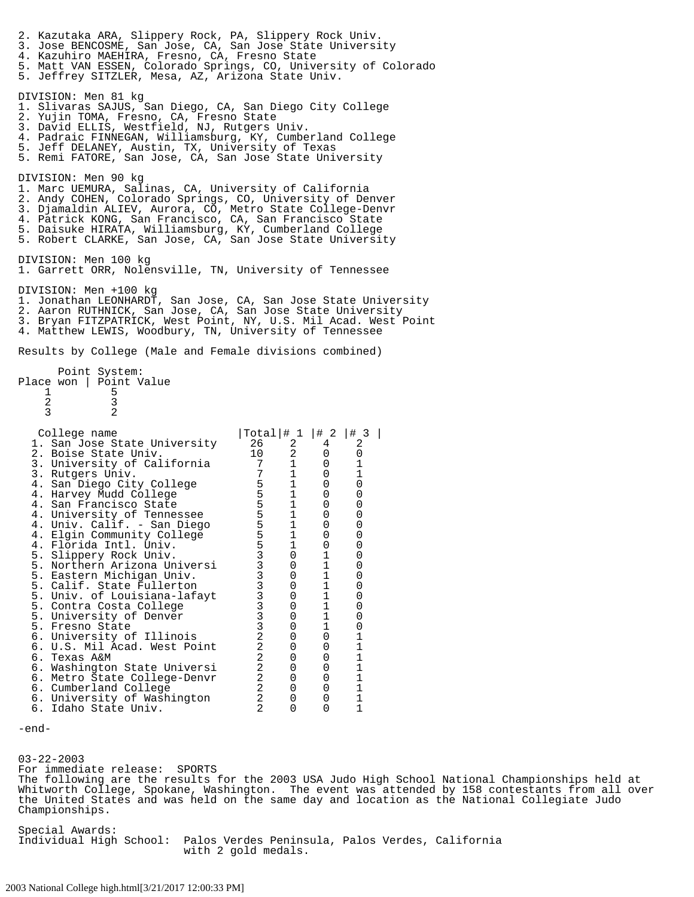2. Kazutaka ARA, Slippery Rock, PA, Slippery Rock Univ. 3. Jose BENCOSME, San Jose, CA, San Jose State University 4. Kazuhiro MAEHIRA, Fresno, CA, Fresno State 5. Matt VAN ESSEN, Colorado Springs, CO, University of Colorado 5. Jeffrey SITZLER, Mesa, AZ, Arizona State Univ. DIVISION: Men 81 kg 1. Slivaras SAJUS, San Diego, CA, San Diego City College 2. Yujin TOMA, Fresno, CA, Fresno State 3. David ELLIS, Westfield, NJ, Rutgers Univ. 4. Padraic FINNEGAN, Williamsburg, KY, Cumberland College 5. Jeff DELANEY, Austin, TX, University of Texas 5. Remi FATORE, San Jose, CA, San Jose State University DIVISION: Men 90 kg 1. Marc UEMURA, Salinas, CA, University of California 2. Andy COHEN, Colorado Springs, CO, University of Denver 3. Djamaldin ALIEV, Aurora, CO, Metro State College-Denvr 4. Patrick KONG, San Francisco, CA, San Francisco State 5. Daisuke HIRATA, Williamsburg, KY, Cumberland College 5. Robert CLARKE, San Jose, CA, San Jose State University DIVISION: Men 100 kg 1. Garrett ORR, Nolensville, TN, University of Tennessee DIVISION: Men +100 kg 1. Jonathan LEONHARDT, San Jose, CA, San Jose State University 2. Aaron RUTHNICK, San Jose, CA, San Jose State University 3. Bryan FITZPATRICK, West Point, NY, U.S. Mil Acad. West Point 4. Matthew LEWIS, Woodbury, TN, University of Tennessee Results by College (Male and Female divisions combined) Point System: Place won | Point Value 1 5 2 3 3 2 College name  $\vert$ Total $\vert$ # 1  $\vert$  # 2  $\vert$  + 3  $\vert$  . San Jose State University 26 2 4 2 1. San Jose State University  $\begin{array}{ccc} 26 & 2 & 4 & 2 \\ 2. & \text{Boise State Univ.} & 10 & 2 & 0 \end{array}$  2. Boise State Univ. 10 2 0 0 3. University of California  $\begin{array}{cccc} 7 & 1 & 0 & 1 \\ 3. & Rutsers Univ. & 7 & 1 & 0 & 1 \end{array}$ 3. Rutgers Univ. 7 1 0 1 4. San Diego City College  $\begin{array}{cccc} 5 & 1 & 0 & 0 \\ -3 & -2 & 0 & 0 \\ 0 & 0 & 0 & 0 \\ 0 & 0 & 0 & 0 \\ 0 & 0 & 0 & 0 \\ 0 & 0 & 0 & 0 \\ 0 & 0 & 0 & 0 \\ 0 & 0 & 0 & 0 \\ 0 & 0 & 0 & 0 \\ 0 & 0 & 0 & 0 \\ 0 & 0 & 0 & 0 \\ 0 & 0 & 0 & 0 \\ 0 & 0 & 0 & 0 \\ 0 & 0 & 0 & 0 \\ 0 & 0 & 0 & 0 \\ 0 & 0 & 0$ 4. Harvey Mudd College  $\begin{array}{cccc} 5 & 1 & 0 & 0 \end{array}$  4. San Francisco State 5 1 0 0 4. University of Tennessee  $\begin{array}{cccc} 4. & \text{Univ} \ . & \text{Calif.} - \text{San Diego} & 5 & 1 & 0 & 0 \\ 4. & \text{Univ. Calif.} - \text{San Diego} & 5 & 1 & 0 \end{array}$  4. Univ. Calif. - San Diego 5 1 0 0 4. Elgin Community College  $\begin{array}{cccc} 5 & 1 & 0 & 0 \\ 4 & \text{Florida Tntl. Univ.} & 5 & 1 & 0 \\ 0 & 0 & 0 & 0 \\ 0 & 0 & 0 & 0 \\ 0 & 0 & 0 & 0 \\ 0 & 0 & 0 & 0 \\ 0 & 0 & 0 & 0 \\ 0 & 0 & 0 & 0 \\ 0 & 0 & 0 & 0 \\ 0 & 0 & 0 & 0 \\ 0 & 0 & 0 & 0 \\ 0 & 0 & 0 & 0 \\ 0 & 0 & 0 & 0 \\ 0 & 0 & 0 & 0 \\ 0 & 0 &$  4. Florida Intl. Univ. 5 1 0 0 5. Slippery Rock Univ. 3 0 1 0 5. Northern Arizona Universi 3 0 1 0 5. Eastern Michigan Univ. 3 0 1 0 5. Calif. State Fullerton 3 0 1 0 5. Univ. of Louisiana-lafayt 3 0 1 0 5. Contra Costa College <sup>7</sup> a <sup>3</sup> 0 <sup>1</sup> 0<br>5. University of Denver 3 0 <sup>1</sup> 0 5. University of Denver  $\begin{array}{cccc} 3 & 0 & 1 & 0 \\ 5. & \text{Fresno State} & 3 & 0 & 1 \\ 0 & 0 & 1 & 0 \end{array}$  5. Fresno State 3 0 1 0 6. University of Illinois 2 0 0 1 6. U.S. Mil Acad. West Point 2 0 0 1 6. Texas A&M 2 0 0 1 6. Washington State Universi 2 0 0 1 6. Metro State College-Denvr 2 0 0 1 6. Cumberland College  $\begin{array}{cccc} 6. & \text{Cumberland} & \text{College} & 2 & 0 & 0 & 1 \\ 6. & \text{University of Washington} & 2 & 0 & 0 & 1 \end{array}$  6. University of Washington 2 0 0 1 6. Idaho State Univ.

03-22-2003 For immediate release: SPORTS The following are the results for the 2003 USA Judo High School National Championships held at Whitworth College, Spokane, Washington. The event was attended by 158 contestants from all over the United States and was held on the same day and location as the National Collegiate Judo Championships.

Special Awards: Individual High School: Palos Verdes Peninsula, Palos Verdes, California with 2 gold medals.

<sup>-</sup>end-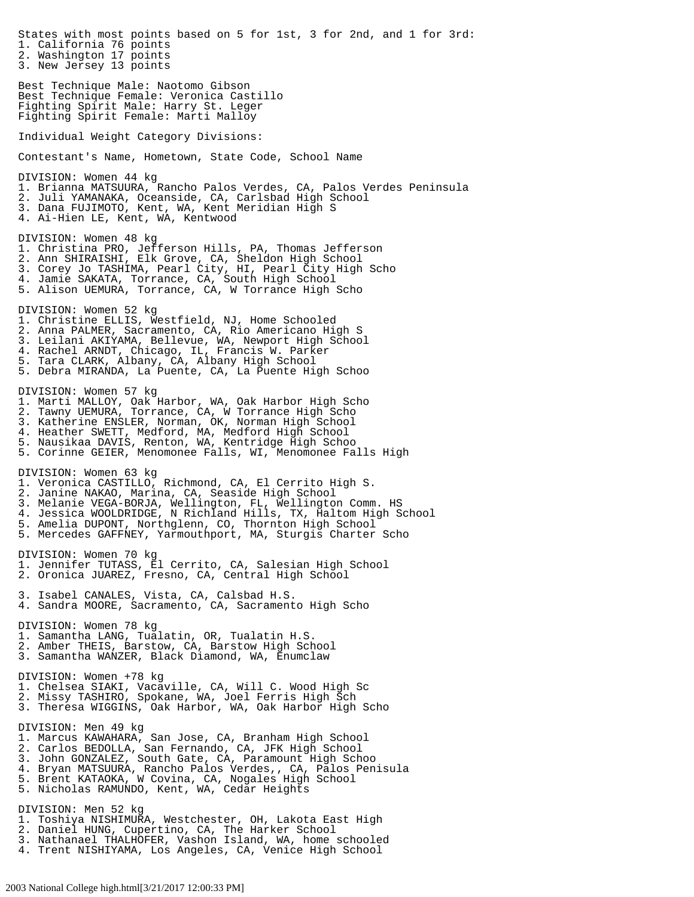States with most points based on 5 for 1st, 3 for 2nd, and 1 for 3rd: 1. California 76 points 2. Washington 17 points 3. New Jersey 13 points Best Technique Male: Naotomo Gibson Best Technique Female: Veronica Castillo Fighting Spirit Male: Harry St. Leger Fighting Spirit Female: Marti Malloy Individual Weight Category Divisions: Contestant's Name, Hometown, State Code, School Name DIVISION: Women 44 kg 1. Brianna MATSUURA, Rancho Palos Verdes, CA, Palos Verdes Peninsula 2. Juli YAMANAKA, Oceanside, CA, Carlsbad High School 3. Dana FUJIMOTO, Kent, WA, Kent Meridian High S 4. Ai-Hien LE, Kent, WA, Kentwood DIVISION: Women 48 kg 1. Christina PRO, Jefferson Hills, PA, Thomas Jefferson 2. Ann SHIRAISHI, Elk Grove, CA, Sheldon High School 3. Corey Jo TASHIMA, Pearl City, HI, Pearl City High Scho 4. Jamie SAKATA, Torrance, CA, South High School 5. Alison UEMURA, Torrance, CA, W Torrance High Scho DIVISION: Women 52 kg 1. Christine ELLIS, Westfield, NJ, Home Schooled 2. Anna PALMER, Sacramento, CA, Rio Americano High S 3. Leilani AKIYAMA, Bellevue, WA, Newport High School 4. Rachel ARNDT, Chicago, IL, Francis W. Parker 5. Tara CLARK, Albany, CA, Albany High School 5. Debra MIRANDA, La Puente, CA, La Puente High Schoo  $\overline{a}$ DIVISION: Women 57 kg 1. Marti MALLOY, Oak Harbor, WA, Oak Harbor High Scho 2. Tawny UEMURA, Torrance, CA, W Torrance High Scho 3. Katherine ENSLER, Norman, OK, Norman High School 4. Heather SWETT, Medford, MA, Medford High School 5. Nausikaa DAVIS, Renton, WA, Kentridge High Schoo 5. Corinne GEIER, Menomonee Falls, WI, Menomonee Falls High DIVISION: Women 63 kg 1. Veronica CASTILLO, Richmond, CA, El Cerrito High S. 2. Janine NAKAO, Marina, CA, Seaside High School 3. Melanie VEGA-BORJA, Wellington, FL, Wellington Comm. HS 4. Jessica WOOLDRIDGE, N Richland Hills, TX, Haltom High School 5. Amelia DUPONT, Northglenn, CO, Thornton High School 5. Mercedes GAFFNEY, Yarmouthport, MA, Sturgis Charter Scho DIVISION: Women 70 kg 1. Jennifer TUTASS, El Cerrito, CA, Salesian High School 2. Oronica JUAREZ, Fresno, CA, Central High School 3. Isabel CANALES, Vista, CA, Calsbad H.S. 4. Sandra MOORE, Sacramento, CA, Sacramento High Scho DIVISION: Women 78 kg 1. Samantha LANG, Tualatin, OR, Tualatin H.S. 2. Amber THEIS, Barstow, CA, Barstow High School 3. Samantha WANZER, Black Diamond, WA, Enumclaw DIVISION: Women +78 kg 1. Chelsea SIAKI, Vacaville, CA, Will C. Wood High Sc 2. Missy TASHIRO, Spokane, WA, Joel Ferris High Sch 3. Theresa WIGGINS, Oak Harbor, WA, Oak Harbor High Scho DIVISION: Men 49 kg 1. Marcus KAWAHARA, San Jose, CA, Branham High School 2. Carlos BEDOLLA, San Fernando, CA, JFK High School 3. John GONZALEZ, South Gate, CA, Paramount High Schoo 4. Bryan MATSUURA, Rancho Palos Verdes,, CA, Palos Penisula 5. Brent KATAOKA, W Covina, CA, Nogales High School 5. Nicholas RAMUNDO, Kent, WA, Cedar Heights DIVISION: Men 52 kg 1. Toshiya NISHIMURA, Westchester, OH, Lakota East High 2. Daniel HUNG, Cupertino, CA, The Harker School 3. Nathanael THALHOFER, Vashon Island, WA, home schooled 4. Trent NISHIYAMA, Los Angeles, CA, Venice High School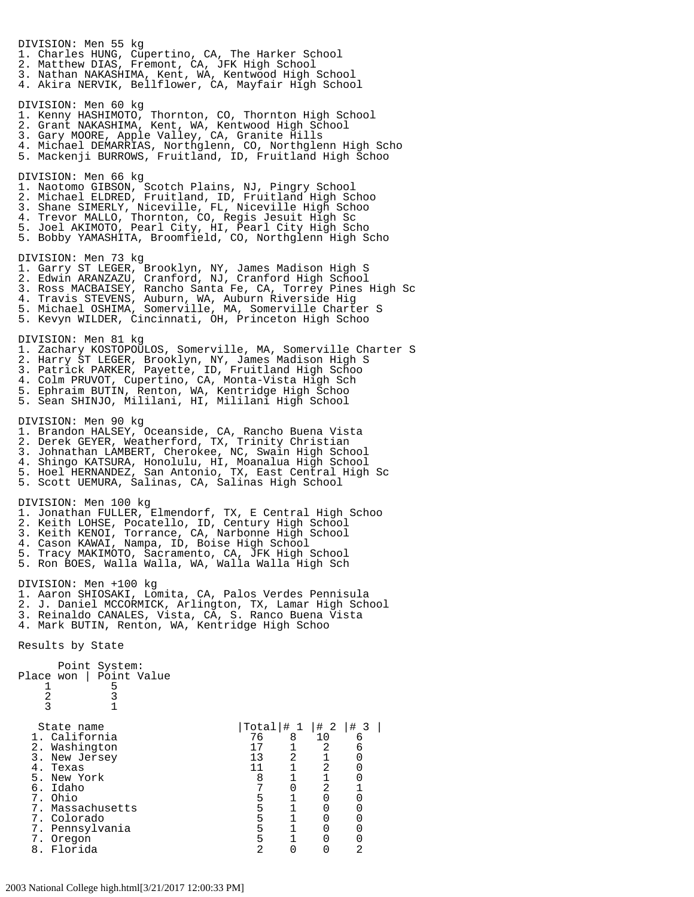DIVISION: Men 55 kg 1. Charles HUNG, Cupertino, CA, The Harker School 2. Matthew DIAS, Fremont, CA, JFK High School 3. Nathan NAKASHIMA, Kent, WA, Kentwood High School 4. Akira NERVIK, Bellflower, CA, Mayfair High School DIVISION: Men 60 kg 1. Kenny HASHIMOTO, Thornton, CO, Thornton High School 2. Grant NAKASHIMA, Kent, WA, Kentwood High School 3. Gary MOORE, Apple Valley, CA, Granite Hills 4. Michael DEMARRIAS, Northglenn, CO, Northglenn High Scho 5. Mackenji BURROWS, Fruitland, ID, Fruitland High Schoo DIVISION: Men 66 kg 1. Naotomo GIBSON, Scotch Plains, NJ, Pingry School 2. Michael ELDRED, Fruitland, ID, Fruitland High Schoo 3. Shane SIMERLY, Niceville, FL, Niceville High Schoo 4. Trevor MALLO, Thornton, CO, Regis Jesuit High Sc 5. Joel AKIMOTO, Pearl City, HI, Pearl City High Scho 5. Bobby YAMASHITA, Broomfield, CO, Northglenn High Scho DIVISION: Men 73 kg 1. Garry ST LEGER, Brooklyn, NY, James Madison High S 2. Edwin ARANZAZU, Cranford, NJ, Cranford High School 3. Ross MACBAISEY, Rancho Santa Fe, CA, Torrey Pines High Sc 4. Travis STEVENS, Auburn, WA, Auburn Riverside Hig 5. Michael OSHIMA, Somerville, MA, Somerville Charter S 5. Kevyn WILDER, Cincinnati, OH, Princeton High Schoo DIVISION: Men 81 kg 1. Zachary KOSTOPOULOS, Somerville, MA, Somerville Charter S 2. Harry ST LEGER, Brooklyn, NY, James Madison High S 3. Patrick PARKER, Payette, ID, Fruitland High Schoo 4. Colm PRUVOT, Cupertino, CA, Monta-Vista High Sch 5. Ephraim BUTIN, Renton, WA, Kentridge High Schoo 5. Sean SHINJO, Mililani, HI, Mililani High School DIVISION: Men 90 kg 1. Brandon HALSEY, Oceanside, CA, Rancho Buena Vista 2. Derek GEYER, Weatherford, TX, Trinity Christian 3. Johnathan LAMBERT, Cherokee, NC, Swain High School 4. Shingo KATSURA, Honolulu, HI, Moanalua High School 5. Hoel HERNANDEZ, San Antonio, TX, East Central High Sc 5. Scott UEMURA, Salinas, CA, Salinas High School DIVISION: Men 100 kg 1. Jonathan FULLER, Elmendorf, TX, E Central High Schoo 2. Keith LOHSE, Pocatello, ID, Century High School 3. Keith KENOI, Torrance, CA, Narbonne High School 4. Cason KAWAI, Nampa, ID, Boise High School 5. Tracy MAKIMOTO, Sacramento, CA, JFK High School 5. Ron BOES, Walla Walla, WA, Walla Walla High Sch DIVISION: Men +100 kg<br>1. Aaron SHIOSAKI, Lomita, CA, Palos Verdes Pennisula 1. Aaron SHIOSAKI, Lomita, CA, Palos Verdes Pennisula 2. J. Daniel MCCORMICK, Arlington, TX, Lamar High School 3. Reinaldo CANALES, Vista, CA, S. Ranco Buena Vista 4. Mark BUTIN, Renton, WA, Kentridge High Schoo Results by State Point System: Place won | Point Value<br>1 5  $\frac{1}{2}$  5<br>3 2 3 3 1 State name  $\begin{array}{c|cccc}\n & 1 & 4 & 2 & 4 & 3 \\
1. & 1 & 6 & 3 & 10\n\end{array}$ 1. California 1. 2. Washington 17 1 2 6 2. Washington 17 1 2 6 3. New Jersey 13 2 1 0 4. Texas 11 1 2 0<br>5. New York 11 1 2 0 5. New York 8 1 1 0 6. Idaho 7 0 2 1 7. Ohio 5 1 0 0 7. Massachusetts 5 1 0 0 7. Colorado 5 1 0 0 7. Pennsylvania 5 1 0 0 7. Oregon 5 1 0 0 8. Florida 2 0 0 2